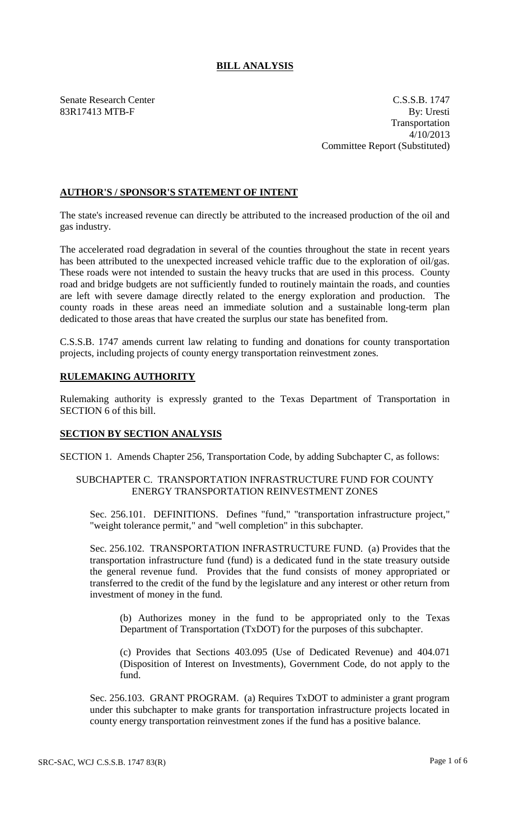# **BILL ANALYSIS**

Senate Research Center C.S.S.B. 1747 83R17413 MTB-F By: Uresti Transportation 4/10/2013 Committee Report (Substituted)

# **AUTHOR'S / SPONSOR'S STATEMENT OF INTENT**

The state's increased revenue can directly be attributed to the increased production of the oil and gas industry.

The accelerated road degradation in several of the counties throughout the state in recent years has been attributed to the unexpected increased vehicle traffic due to the exploration of oil/gas. These roads were not intended to sustain the heavy trucks that are used in this process. County road and bridge budgets are not sufficiently funded to routinely maintain the roads, and counties are left with severe damage directly related to the energy exploration and production. The county roads in these areas need an immediate solution and a sustainable long-term plan dedicated to those areas that have created the surplus our state has benefited from.

C.S.S.B. 1747 amends current law relating to funding and donations for county transportation projects, including projects of county energy transportation reinvestment zones.

### **RULEMAKING AUTHORITY**

Rulemaking authority is expressly granted to the Texas Department of Transportation in SECTION 6 of this bill.

### **SECTION BY SECTION ANALYSIS**

SECTION 1. Amends Chapter 256, Transportation Code, by adding Subchapter C, as follows:

#### SUBCHAPTER C. TRANSPORTATION INFRASTRUCTURE FUND FOR COUNTY ENERGY TRANSPORTATION REINVESTMENT ZONES

Sec. 256.101. DEFINITIONS. Defines "fund," "transportation infrastructure project," "weight tolerance permit," and "well completion" in this subchapter.

Sec. 256.102. TRANSPORTATION INFRASTRUCTURE FUND. (a) Provides that the transportation infrastructure fund (fund) is a dedicated fund in the state treasury outside the general revenue fund. Provides that the fund consists of money appropriated or transferred to the credit of the fund by the legislature and any interest or other return from investment of money in the fund.

(b) Authorizes money in the fund to be appropriated only to the Texas Department of Transportation (TxDOT) for the purposes of this subchapter.

(c) Provides that Sections 403.095 (Use of Dedicated Revenue) and 404.071 (Disposition of Interest on Investments), Government Code, do not apply to the fund.

Sec. 256.103. GRANT PROGRAM. (a) Requires TxDOT to administer a grant program under this subchapter to make grants for transportation infrastructure projects located in county energy transportation reinvestment zones if the fund has a positive balance.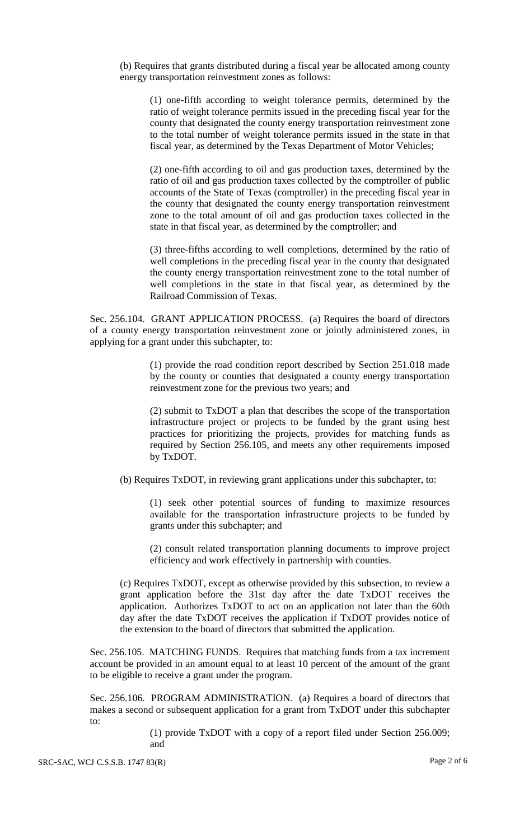(b) Requires that grants distributed during a fiscal year be allocated among county energy transportation reinvestment zones as follows:

(1) one-fifth according to weight tolerance permits, determined by the ratio of weight tolerance permits issued in the preceding fiscal year for the county that designated the county energy transportation reinvestment zone to the total number of weight tolerance permits issued in the state in that fiscal year, as determined by the Texas Department of Motor Vehicles;

(2) one-fifth according to oil and gas production taxes, determined by the ratio of oil and gas production taxes collected by the comptroller of public accounts of the State of Texas (comptroller) in the preceding fiscal year in the county that designated the county energy transportation reinvestment zone to the total amount of oil and gas production taxes collected in the state in that fiscal year, as determined by the comptroller; and

(3) three-fifths according to well completions, determined by the ratio of well completions in the preceding fiscal year in the county that designated the county energy transportation reinvestment zone to the total number of well completions in the state in that fiscal year, as determined by the Railroad Commission of Texas.

Sec. 256.104. GRANT APPLICATION PROCESS. (a) Requires the board of directors of a county energy transportation reinvestment zone or jointly administered zones, in applying for a grant under this subchapter, to:

> (1) provide the road condition report described by Section 251.018 made by the county or counties that designated a county energy transportation reinvestment zone for the previous two years; and

> (2) submit to TxDOT a plan that describes the scope of the transportation infrastructure project or projects to be funded by the grant using best practices for prioritizing the projects, provides for matching funds as required by Section 256.105, and meets any other requirements imposed by TxDOT.

(b) Requires TxDOT, in reviewing grant applications under this subchapter, to:

(1) seek other potential sources of funding to maximize resources available for the transportation infrastructure projects to be funded by grants under this subchapter; and

(2) consult related transportation planning documents to improve project efficiency and work effectively in partnership with counties.

(c) Requires TxDOT, except as otherwise provided by this subsection, to review a grant application before the 31st day after the date TxDOT receives the application. Authorizes TxDOT to act on an application not later than the 60th day after the date TxDOT receives the application if TxDOT provides notice of the extension to the board of directors that submitted the application.

Sec. 256.105. MATCHING FUNDS. Requires that matching funds from a tax increment account be provided in an amount equal to at least 10 percent of the amount of the grant to be eligible to receive a grant under the program.

Sec. 256.106. PROGRAM ADMINISTRATION. (a) Requires a board of directors that makes a second or subsequent application for a grant from TxDOT under this subchapter to:

> (1) provide TxDOT with a copy of a report filed under Section 256.009; and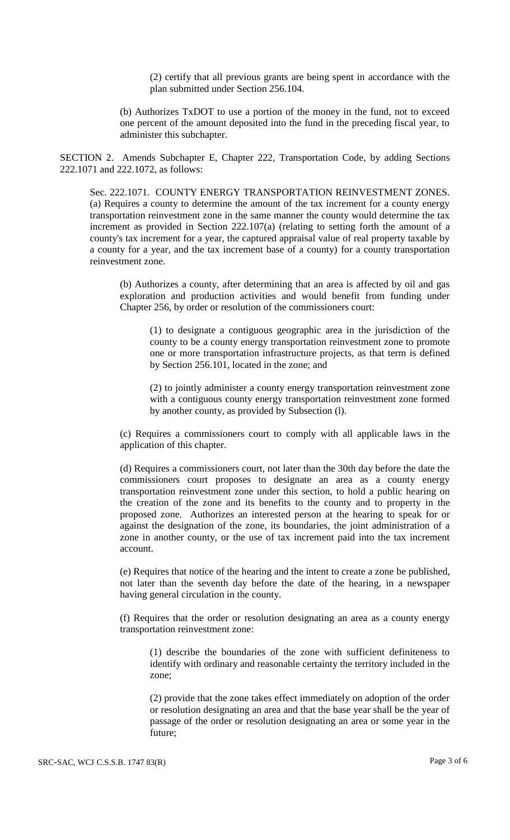(2) certify that all previous grants are being spent in accordance with the plan submitted under Section 256.104.

(b) Authorizes TxDOT to use a portion of the money in the fund, not to exceed one percent of the amount deposited into the fund in the preceding fiscal year, to administer this subchapter.

SECTION 2. Amends Subchapter E, Chapter 222, Transportation Code, by adding Sections 222.1071 and 222.1072, as follows:

Sec. 222.1071. COUNTY ENERGY TRANSPORTATION REINVESTMENT ZONES. (a) Requires a county to determine the amount of the tax increment for a county energy transportation reinvestment zone in the same manner the county would determine the tax increment as provided in Section  $222.107(a)$  (relating to setting forth the amount of a county's tax increment for a year, the captured appraisal value of real property taxable by a county for a year, and the tax increment base of a county) for a county transportation reinvestment zone.

(b) Authorizes a county, after determining that an area is affected by oil and gas exploration and production activities and would benefit from funding under Chapter 256, by order or resolution of the commissioners court:

(1) to designate a contiguous geographic area in the jurisdiction of the county to be a county energy transportation reinvestment zone to promote one or more transportation infrastructure projects, as that term is defined by Section 256.101, located in the zone; and

(2) to jointly administer a county energy transportation reinvestment zone with a contiguous county energy transportation reinvestment zone formed by another county, as provided by Subsection (l).

(c) Requires a commissioners court to comply with all applicable laws in the application of this chapter.

(d) Requires a commissioners court, not later than the 30th day before the date the commissioners court proposes to designate an area as a county energy transportation reinvestment zone under this section, to hold a public hearing on the creation of the zone and its benefits to the county and to property in the proposed zone. Authorizes an interested person at the hearing to speak for or against the designation of the zone, its boundaries, the joint administration of a zone in another county, or the use of tax increment paid into the tax increment account.

(e) Requires that notice of the hearing and the intent to create a zone be published, not later than the seventh day before the date of the hearing, in a newspaper having general circulation in the county.

(f) Requires that the order or resolution designating an area as a county energy transportation reinvestment zone:

(1) describe the boundaries of the zone with sufficient definiteness to identify with ordinary and reasonable certainty the territory included in the zone;

(2) provide that the zone takes effect immediately on adoption of the order or resolution designating an area and that the base year shall be the year of passage of the order or resolution designating an area or some year in the future;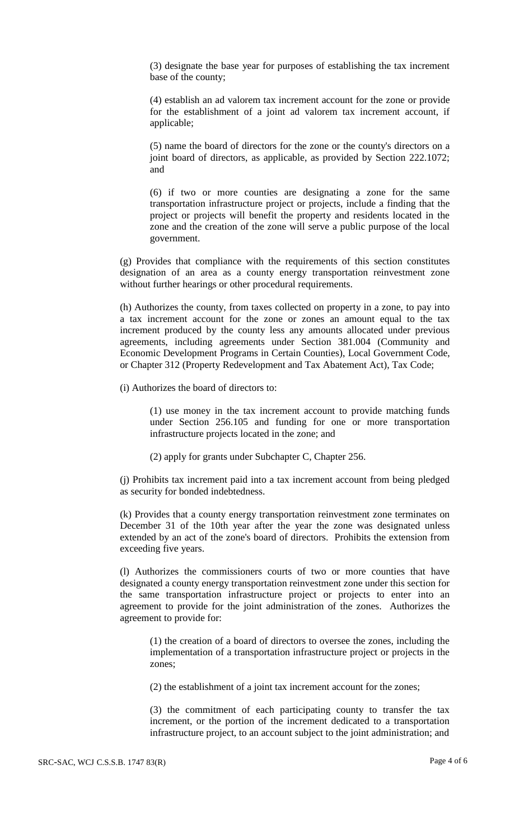(3) designate the base year for purposes of establishing the tax increment base of the county;

(4) establish an ad valorem tax increment account for the zone or provide for the establishment of a joint ad valorem tax increment account, if applicable;

(5) name the board of directors for the zone or the county's directors on a joint board of directors, as applicable, as provided by Section 222.1072; and

(6) if two or more counties are designating a zone for the same transportation infrastructure project or projects, include a finding that the project or projects will benefit the property and residents located in the zone and the creation of the zone will serve a public purpose of the local government.

(g) Provides that compliance with the requirements of this section constitutes designation of an area as a county energy transportation reinvestment zone without further hearings or other procedural requirements.

(h) Authorizes the county, from taxes collected on property in a zone, to pay into a tax increment account for the zone or zones an amount equal to the tax increment produced by the county less any amounts allocated under previous agreements, including agreements under Section 381.004 (Community and Economic Development Programs in Certain Counties), Local Government Code, or Chapter 312 (Property Redevelopment and Tax Abatement Act), Tax Code;

(i) Authorizes the board of directors to:

(1) use money in the tax increment account to provide matching funds under Section 256.105 and funding for one or more transportation infrastructure projects located in the zone; and

(2) apply for grants under Subchapter C, Chapter 256.

(j) Prohibits tax increment paid into a tax increment account from being pledged as security for bonded indebtedness.

(k) Provides that a county energy transportation reinvestment zone terminates on December 31 of the 10th year after the year the zone was designated unless extended by an act of the zone's board of directors. Prohibits the extension from exceeding five years.

(l) Authorizes the commissioners courts of two or more counties that have designated a county energy transportation reinvestment zone under this section for the same transportation infrastructure project or projects to enter into an agreement to provide for the joint administration of the zones. Authorizes the agreement to provide for:

(1) the creation of a board of directors to oversee the zones, including the implementation of a transportation infrastructure project or projects in the zones;

(2) the establishment of a joint tax increment account for the zones;

(3) the commitment of each participating county to transfer the tax increment, or the portion of the increment dedicated to a transportation infrastructure project, to an account subject to the joint administration; and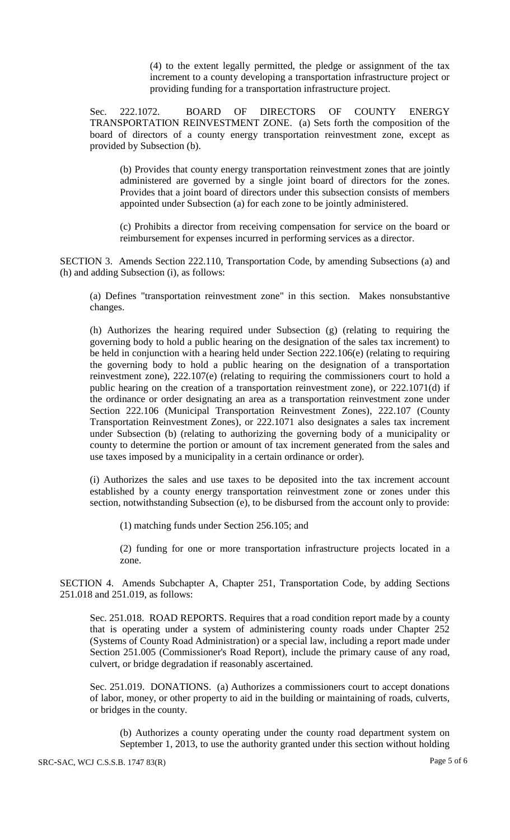(4) to the extent legally permitted, the pledge or assignment of the tax increment to a county developing a transportation infrastructure project or providing funding for a transportation infrastructure project.

Sec. 222.1072. BOARD OF DIRECTORS OF COUNTY ENERGY TRANSPORTATION REINVESTMENT ZONE. (a) Sets forth the composition of the board of directors of a county energy transportation reinvestment zone, except as provided by Subsection (b).

(b) Provides that county energy transportation reinvestment zones that are jointly administered are governed by a single joint board of directors for the zones. Provides that a joint board of directors under this subsection consists of members appointed under Subsection (a) for each zone to be jointly administered.

(c) Prohibits a director from receiving compensation for service on the board or reimbursement for expenses incurred in performing services as a director.

SECTION 3. Amends Section 222.110, Transportation Code, by amending Subsections (a) and (h) and adding Subsection (i), as follows:

(a) Defines "transportation reinvestment zone" in this section. Makes nonsubstantive changes.

(h) Authorizes the hearing required under Subsection (g) (relating to requiring the governing body to hold a public hearing on the designation of the sales tax increment) to be held in conjunction with a hearing held under Section 222.106(e) (relating to requiring the governing body to hold a public hearing on the designation of a transportation reinvestment zone), 222.107(e) (relating to requiring the commissioners court to hold a public hearing on the creation of a transportation reinvestment zone), or 222.1071(d) if the ordinance or order designating an area as a transportation reinvestment zone under Section 222.106 (Municipal Transportation Reinvestment Zones), 222.107 (County Transportation Reinvestment Zones), or 222.1071 also designates a sales tax increment under Subsection (b) (relating to authorizing the governing body of a municipality or county to determine the portion or amount of tax increment generated from the sales and use taxes imposed by a municipality in a certain ordinance or order).

(i) Authorizes the sales and use taxes to be deposited into the tax increment account established by a county energy transportation reinvestment zone or zones under this section, notwithstanding Subsection (e), to be disbursed from the account only to provide:

(1) matching funds under Section 256.105; and

(2) funding for one or more transportation infrastructure projects located in a zone.

SECTION 4. Amends Subchapter A, Chapter 251, Transportation Code, by adding Sections 251.018 and 251.019, as follows:

Sec. 251.018. ROAD REPORTS. Requires that a road condition report made by a county that is operating under a system of administering county roads under Chapter 252 (Systems of County Road Administration) or a special law, including a report made under Section 251.005 (Commissioner's Road Report), include the primary cause of any road, culvert, or bridge degradation if reasonably ascertained.

Sec. 251.019. DONATIONS. (a) Authorizes a commissioners court to accept donations of labor, money, or other property to aid in the building or maintaining of roads, culverts, or bridges in the county.

(b) Authorizes a county operating under the county road department system on September 1, 2013, to use the authority granted under this section without holding